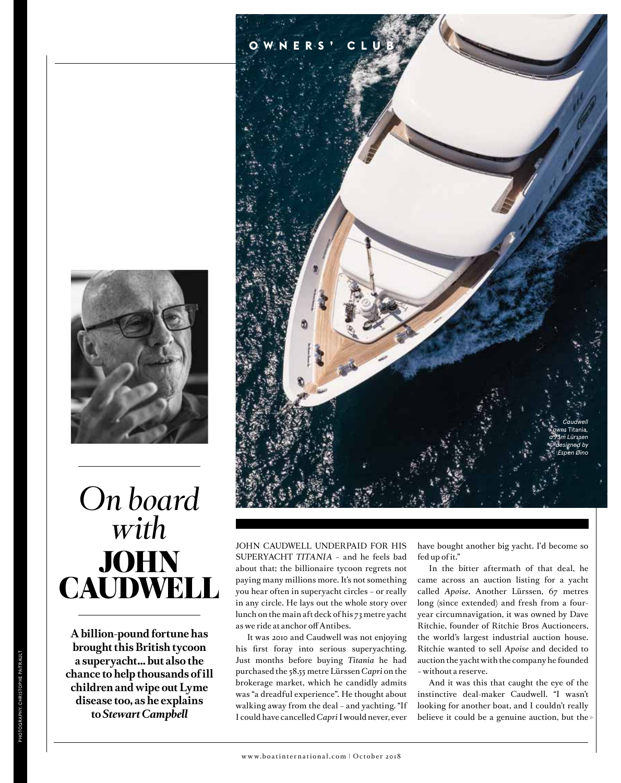

# *On board with* **JOHN** CAUDWELL

**A billion-pound fortune has brought this British tycoon a superyacht… but also the chance to help thousands of ill children and wipe out Lyme disease too, as he explains to** *Stewart Campbell*



JOHN CAUDWELL UNDERPAID FOR HIS SUPERYACHT *TITANIA* – and he feels bad about that; the billionaire tycoon regrets not paying many millions more. It's not something you hear often in superyacht circles – or really in any circle. He lays out the whole story over lunch on the main aft deck of his 73 metre yacht as we ride at anchor off Antibes.

It was 2010 and Caudwell was not enjoying his first foray into serious superyachting. Just months before buying *Titania* he had purchased the 58.55 metre Lürssen *Capri* on the brokerage market, which he candidly admits was "a dreadful experience". He thought about walking away from the deal – and yachting. "If I could have cancelled *Capri* I would never, ever

have bought another big yacht. I'd become so fed up of it."

In the bitter aftermath of that deal, he came across an auction listing for a yacht called *Apoise*. Another Lürssen, 67 metres long (since extended) and fresh from a fouryear circumnavigation, it was owned by Dave Ritchie, founder of Ritchie Bros Auctioneers, the world's largest industrial auction house. Ritchie wanted to sell *Apoise* and decided to auction the yacht with the company he founded – without a reserve.

And it was this that caught the eye of the instinctive deal-maker Caudwell. "I wasn't looking for another boat, and I couldn't really believe it could be a genuine auction, but the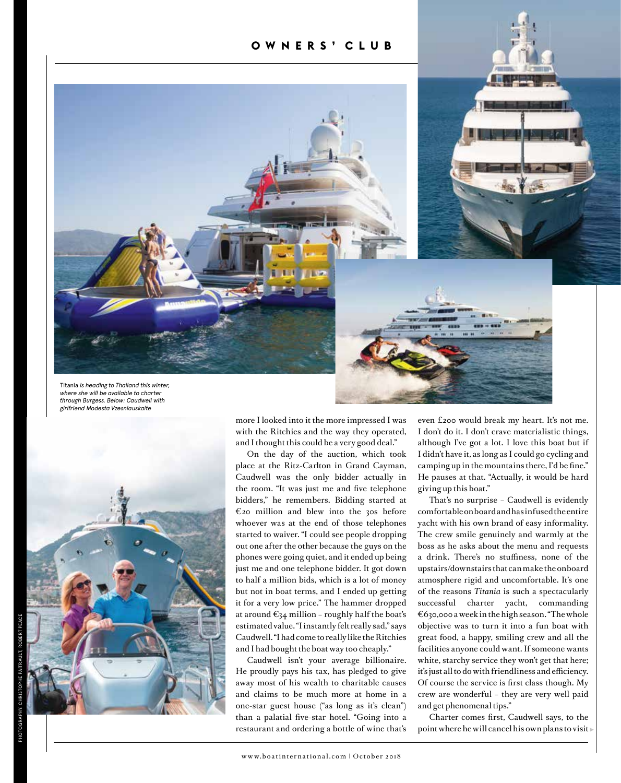#### **OWNERS' CLUB**



Titania *is heading to Thailand this winter, where she will be available to charter through Burgess. Below: Caudwell with girlfriend Modesta Vzesniauskaite*



more I looked into it the more impressed I was with the Ritchies and the way they operated, and I thought this could be a very good deal."

On the day of the auction, which took place at the Ritz-Carlton in Grand Cayman, Caudwell was the only bidder actually in the room. "It was just me and five telephone bidders," he remembers. Bidding started at €20 million and blew into the 30s before whoever was at the end of those telephones started to waiver. "I could see people dropping out one after the other because the guys on the phones were going quiet, and it ended up being just me and one telephone bidder. It got down to half a million bids, which is a lot of money but not in boat terms, and I ended up getting it for a very low price." The hammer dropped at around  $\epsilon_{34}$  million - roughly half the boat's estimated value. "I instantly felt really sad," says Caudwell. "I had come to really like the Ritchies and I had bought the boat way too cheaply."

Caudwell isn't your average billionaire. He proudly pays his tax, has pledged to give away most of his wealth to charitable causes and claims to be much more at home in a one-star guest house ("as long as it's clean") than a palatial five-star hotel. "Going into a restaurant and ordering a bottle of wine that's even £200 would break my heart. It's not me. I don't do it. I don't crave materialistic things, although I've got a lot. I love this boat but if I didn't have it, as long as I could go cycling and camping up in the mountains there, I'd be fine." He pauses at that. "Actually, it would be hard giving up this boat."

That's no surprise – Caudwell is evidently comfortable on board and has infused the entire yacht with his own brand of easy informality. The crew smile genuinely and warmly at the boss as he asks about the menu and requests a drink. There's no stuffiness, none of the upstairs/downstairs that can make the onboard atmosphere rigid and uncomfortable. It's one of the reasons *Titania* is such a spectacularly successful charter yacht, commanding €630,000 a week in the high season. "The whole objective was to turn it into a fun boat with great food, a happy, smiling crew and all the facilities anyone could want. If someone wants white, starchy service they won't get that here; it's just all to do with friendliness and efficiency. Of course the service is first class though. My crew are wonderful – they are very well paid and get phenomenal tips."

Charter comes first, Caudwell says, to the point where he will cancel his own plans to visit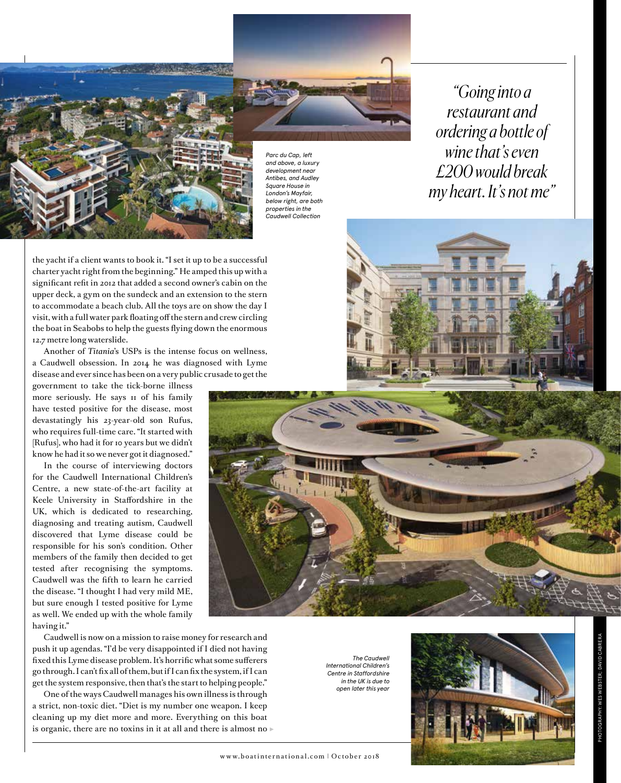*Parc du Cap, left and above, a luxury development near Antibes, and Audley Square House in London's Mayfair, below right, are both properties in the Caudwell Collection*

*"Going into a restaurant and ordering a bottle of wine that's even £200 would break my heart. It's not me"*

the yacht if a client wants to book it. "I set it up to be a successful charter yacht right from the beginning." He amped this up with a significant refit in 2012 that added a second owner's cabin on the upper deck, a gym on the sundeck and an extension to the stern to accommodate a beach club. All the toys are on show the day I visit, with a full water park floating off the stern and crew circling the boat in Seabobs to help the guests flying down the enormous 12.7 metre long waterslide.

Another of *Titania*'s USPs is the intense focus on wellness, a Caudwell obsession. In 2014 he was diagnosed with Lyme disease and ever since has been on a very public crusade to get the

government to take the tick-borne illness more seriously. He says 11 of his family have tested positive for the disease, most devastatingly his 23-year-old son Rufus, who requires full-time care. "It started with [Rufus], who had it for 10 years but we didn't know he had it so we never got it diagnosed."

In the course of interviewing doctors for the Caudwell International Children's Centre, a new state-of-the-art facility at Keele University in Staffordshire in the UK, which is dedicated to researching, diagnosing and treating autism, Caudwell discovered that Lyme disease could be responsible for his son's condition. Other members of the family then decided to get tested after recognising the symptoms. Caudwell was the fifth to learn he carried the disease. "I thought I had very mild ME, but sure enough I tested positive for Lyme as well. We ended up with the whole family having it."

Caudwell is now on a mission to raise money for research and push it up agendas. "I'd be very disappointed if I died not having fixed this Lyme disease problem. It's horrific what some sufferers go through. I can't fix all of them, but if I can fix the system, if I can get the system responsive, then that's the start to helping people."

One of the ways Caudwell manages his own illness is through a strict, non-toxic diet. "Diet is my number one weapon. I keep cleaning up my diet more and more. Everything on this boat is organic, there are no toxins in it at all and there is almost no

*The Caudwell International Children's Centre in Staffordshire in the UK is due to open later this year* 



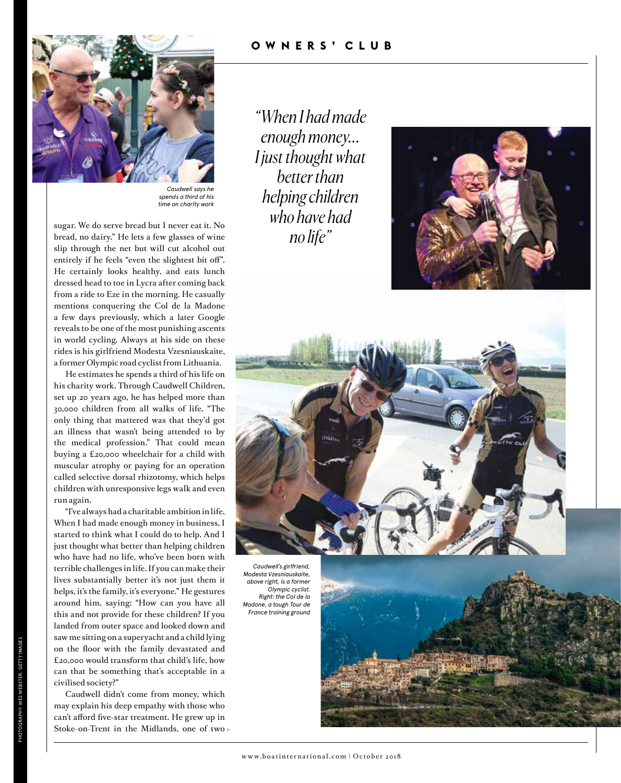

*Caudwell says he spends a third of his time on charity work*

sugar. We do serve bread but I never eat it. No bread, no dairy." He lets a few glasses of wine slip through the net but will cut alcohol out entirely if he feels "even the slightest bit off". He certainly looks healthy, and eats lunch dressed head to toe in Lycra after coming back from a ride to Eze in the morning. He casually mentions conquering the Col de la Madone a few days previously, which a later Google reveals to be one of the most punishing ascents in world cycling. Always at his side on these rides is his girlfriend Modesta Vzesniauskaite, a former Olympic road cyclist from Lithuania.

He estimates he spends a third of his life on his charity work. Through Caudwell Children, set up 20 years ago, he has helped more than 30,000 children from all walks of life. "The only thing that mattered was that they'd got an illness that wasn't being attended to by the medical profession." That could mean buying a £20,000 wheelchair for a child with muscular atrophy or paying for an operation called selective dorsal rhizotomy, which helps children with unresponsive legs walk and even run again.

"I've always had a charitable ambition in life. When I had made enough money in business, I started to think what I could do to help. And I just thought what better than helping children who have had no life, who've been born with terrible challenges in life. If you can make their lives substantially better it's not just them it helps, it's the family, it's everyone." He gestures around him, saying: "How can you have all this and not provide for these children? If you landed from outer space and looked down and saw me sitting on a superyacht and a child lying on the floor with the family devastated and £20,000 would transform that child's life, how can that be something that's acceptable in a civilised society?"

Caudwell didn't come from money, which may explain his deep empathy with those who can't afford five-star treatment. He grew up in Stoke-on-Trent in the Midlands, one of two *"When I had made enough money... I just thought what better than helping children who have had no life"*





*Caudwell's girlfriend, Modesta Vzesniauskaite, above right, is a former Olympic cyclist. Right: the Col de la Madone, a tough Tour de France training ground*

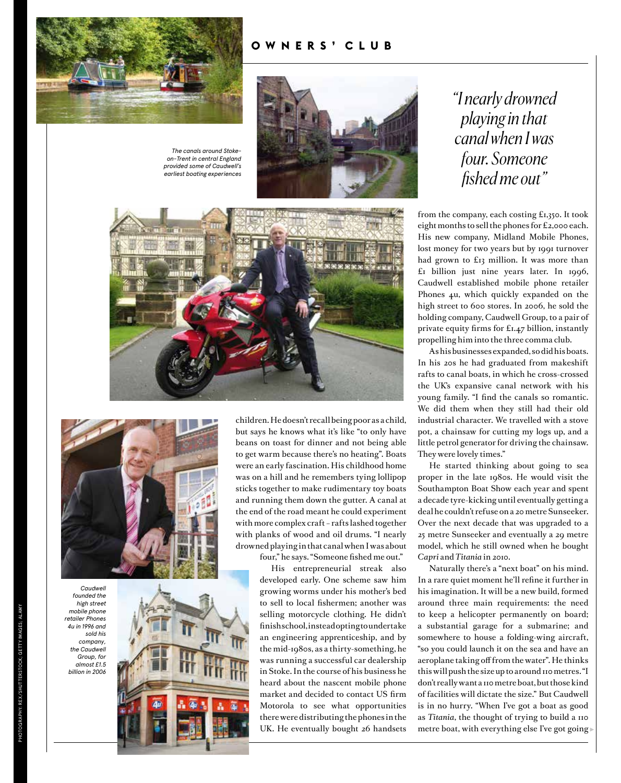

### **OWNERS' CLUB**



*The canals around Stokeon-Trent in central England provided some of Caudwell's earliest boating experiences*







children. He doesn't recall being poor as a child, but says he knows what it's like "to only have beans on toast for dinner and not being able to get warm because there's no heating". Boats were an early fascination. His childhood home was on a hill and he remembers tying lollipop sticks together to make rudimentary toy boats and running them down the gutter. A canal at the end of the road meant he could experiment with more complex craft – rafts lashed together with planks of wood and oil drums. "I nearly drowned playing in that canal when I was about four," he says. "Someone fished me out."

His entrepreneurial streak also developed early. One scheme saw him growing worms under his mother's bed to sell to local fishermen; another was selling motorcycle clothing. He didn't finish school, instead opting to undertake an engineering apprenticeship, and by the mid-1980s, as a thirty-something, he was running a successful car dealership in Stoke. In the course of his business he heard about the nascent mobile phone market and decided to contact US firm Motorola to see what opportunities there were distributing the phones in the UK. He eventually bought 26 handsets

## *"I nearly drowned playing in that canal when I was four. Someone fished me out"*

from the company, each costing £1,350. It took eight months to sell the phones for £2,000 each. His new company, Midland Mobile Phones, lost money for two years but by 1991 turnover had grown to £13 million. It was more than  $£1$  billion just nine years later. In  $1996$ , Caudwell established mobile phone retailer Phones 4u, which quickly expanded on the high street to 600 stores. In 2006, he sold the holding company, Caudwell Group, to a pair of private equity firms for £1.47 billion, instantly propelling him into the three comma club.

As his businesses expanded, so did his boats. In his 20s he had graduated from makeshift rafts to canal boats, in which he cross-crossed the UK's expansive canal network with his young family. "I find the canals so romantic. We did them when they still had their old industrial character. We travelled with a stove pot, a chainsaw for cutting my logs up, and a little petrol generator for driving the chainsaw. They were lovely times."

He started thinking about going to sea proper in the late 1980s. He would visit the Southampton Boat Show each year and spent a decade tyre-kicking until eventually getting a deal he couldn't refuse on a 20 metre Sunseeker. Over the next decade that was upgraded to a 25 metre Sunseeker and eventually a 29 metre model, which he still owned when he bought *Capri* and *Titania* in 2010.

Naturally there's a "next boat" on his mind. In a rare quiet moment he'll refine it further in his imagination. It will be a new build, formed around three main requirements: the need to keep a helicopter permanently on board; a substantial garage for a submarine; and somewhere to house a folding-wing aircraft, "so you could launch it on the sea and have an aeroplane taking off from the water". He thinks this will push the size up to around 110 metres. "I don't really want a 110 metre boat, but those kind of facilities will dictate the size." But Caudwell is in no hurry. "When I've got a boat as good as *Titania*, the thought of trying to build a 110 metre boat, with everything else I've got going

*Caudwell founded the high street* 

> *sold his company,*

*Group, for almost £1.5* 

PHOTOGRAPHY: REX/SHUTTERSTOCK; GETTY IMAGES; ALAMY